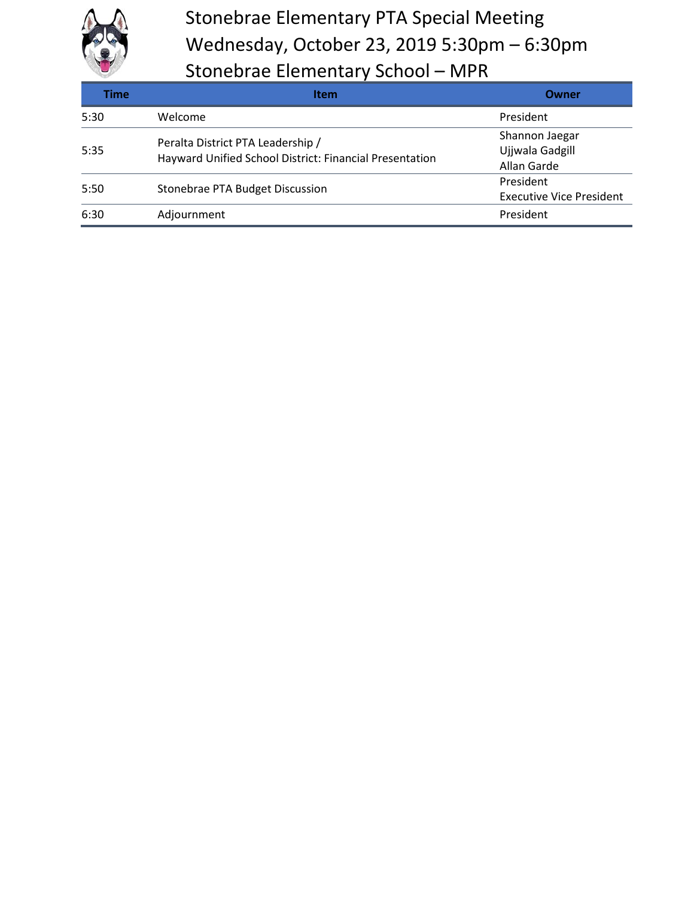

## Stonebrae Elementary PTA Special Meeting Wednesday, October 23, 2019 5:30pm – 6:30pm Stonebrae Elementary School – MPR

| Time | Item                                                                                         | Owner                           |
|------|----------------------------------------------------------------------------------------------|---------------------------------|
| 5:30 | Welcome                                                                                      | President                       |
| 5:35 | Peralta District PTA Leadership /<br>Hayward Unified School District: Financial Presentation | Shannon Jaegar                  |
|      |                                                                                              | Ujjwala Gadgill                 |
|      |                                                                                              | Allan Garde                     |
| 5:50 | Stonebrae PTA Budget Discussion                                                              | President                       |
|      |                                                                                              | <b>Executive Vice President</b> |
| 6:30 | Adjournment                                                                                  | President                       |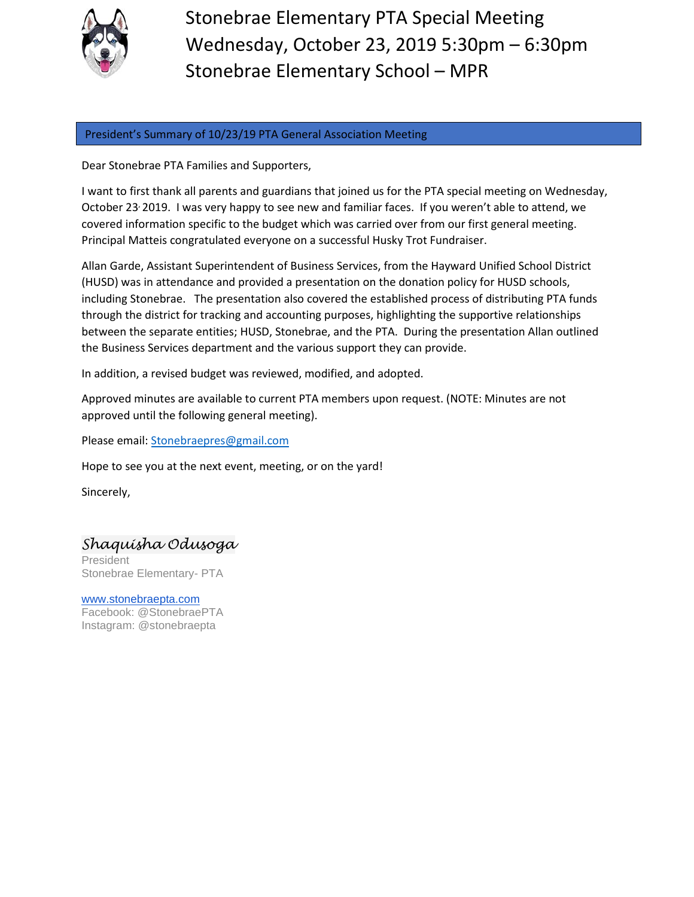

Stonebrae Elementary PTA Special Meeting Wednesday, October 23, 2019 5:30pm – 6:30pm Stonebrae Elementary School – MPR

## President's Summary of 10/23/19 PTA General Association Meeting

Dear Stonebrae PTA Families and Supporters,

I want to first thank all parents and guardians that joined us for the PTA special meeting on Wednesday, October 23, 2019. I was very happy to see new and familiar faces. If you weren't able to attend, we covered information specific to the budget which was carried over from our first general meeting. Principal Matteis congratulated everyone on a successful Husky Trot Fundraiser.

Allan Garde, Assistant Superintendent of Business Services, from the Hayward Unified School District (HUSD) was in attendance and provided a presentation on the donation policy for HUSD schools, including Stonebrae. The presentation also covered the established process of distributing PTA funds through the district for tracking and accounting purposes, highlighting the supportive relationships between the separate entities; HUSD, Stonebrae, and the PTA. During the presentation Allan outlined the Business Services department and the various support they can provide.

In addition, a revised budget was reviewed, modified, and adopted.

Approved minutes are available to current PTA members upon request. (NOTE: Minutes are not approved until the following general meeting).

Please email: [Stonebraepres@gmail.com](mailto:Stonebraepres@gmail.com)

Hope to see you at the next event, meeting, or on the yard!

Sincerely,

## *Shaquisha Odusoga*

President Stonebrae Elementary- PTA

[www.stonebraepta.com](http://www.stonebraepta.com/) Facebook: @StonebraePTA Instagram: @stonebraepta